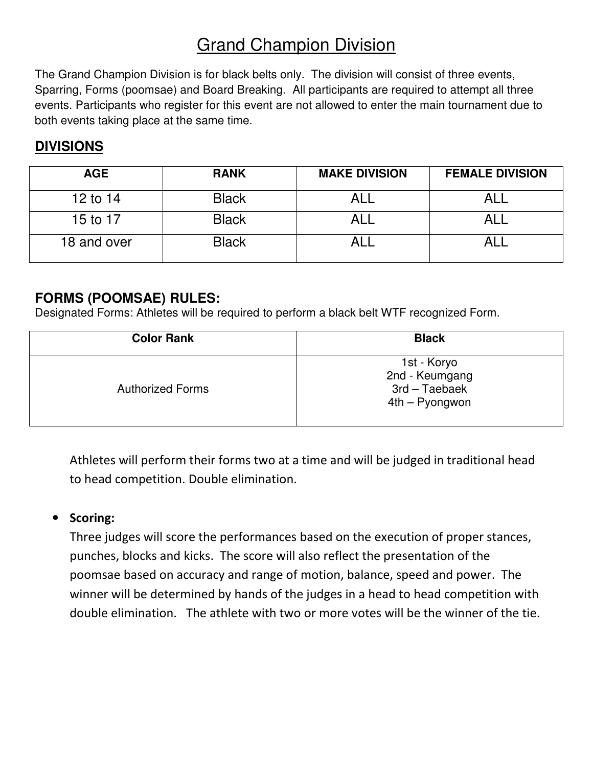# Grand Champion Division

The Grand Champion Division is for black belts only. The division will consist of three events, Sparring, Forms (poomsae) and Board Breaking. All participants are required to attempt all three events. Participants who register for this event are not allowed to enter the main tournament due to both events taking place at the same time.

### **DIVISIONS**

| <b>AGE</b>  | <b>RANK</b>  | <b>MAKE DIVISION</b> | <b>FEMALE DIVISION</b> |
|-------------|--------------|----------------------|------------------------|
| 12 to 14    | <b>Black</b> |                      |                        |
| 15 to 17    | <b>Black</b> |                      |                        |
| 18 and over | <b>Black</b> |                      |                        |

### **FORMS (POOMSAE) RULES:**

Designated Forms: Athletes will be required to perform a black belt WTF recognized Form.

| <b>Color Rank</b>       | <b>Black</b>                                                     |
|-------------------------|------------------------------------------------------------------|
| <b>Authorized Forms</b> | 1st - Koryo<br>2nd - Keumgang<br>3rd – Taebaek<br>4th – Pyongwon |

Athletes will perform their forms two at a time and will be judged in traditional head to head competition. Double elimination.

#### • Scoring:

Three judges will score the performances based on the execution of proper stances, punches, blocks and kicks. The score will also reflect the presentation of the poomsae based on accuracy and range of motion, balance, speed and power. The winner will be determined by hands of the judges in a head to head competition with double elimination. The athlete with two or more votes will be the winner of the tie.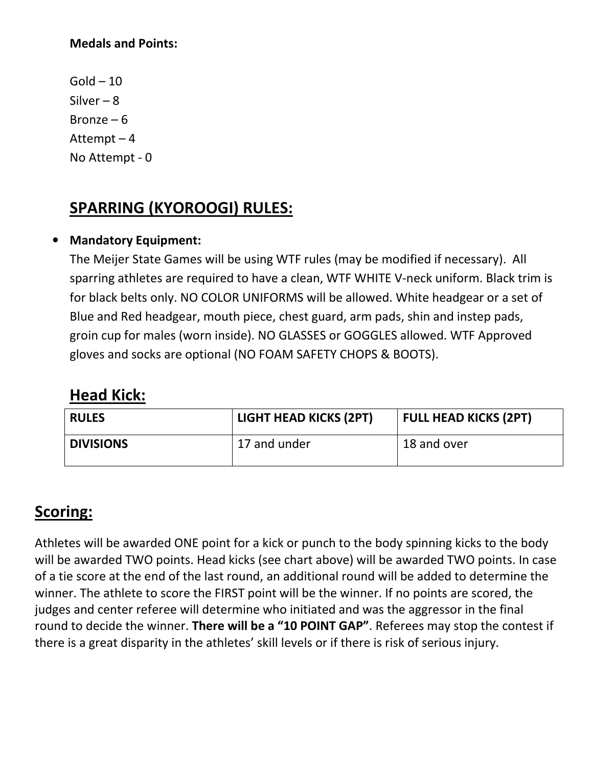#### Medals and Points:

 $Gold - 10$ Silver  $-8$ Bronze  $-6$ Attempt – 4 No Attempt - 0

# SPARRING (KYOROOGI) RULES:

#### • Mandatory Equipment:

The Meijer State Games will be using WTF rules (may be modified if necessary). All sparring athletes are required to have a clean, WTF WHITE V-neck uniform. Black trim is for black belts only. NO COLOR UNIFORMS will be allowed. White headgear or a set of Blue and Red headgear, mouth piece, chest guard, arm pads, shin and instep pads, groin cup for males (worn inside). NO GLASSES or GOGGLES allowed. WTF Approved gloves and socks are optional (NO FOAM SAFETY CHOPS & BOOTS).

### Head Kick:

| <b>LIGHT HEAD KICKS (2PT)</b><br><b>RULES</b> |              | <b>FULL HEAD KICKS (2PT)</b> |  |  |
|-----------------------------------------------|--------------|------------------------------|--|--|
| <b>DIVISIONS</b>                              | 17 and under | 18 and over                  |  |  |

## Scoring:

Athletes will be awarded ONE point for a kick or punch to the body spinning kicks to the body will be awarded TWO points. Head kicks (see chart above) will be awarded TWO points. In case of a tie score at the end of the last round, an additional round will be added to determine the winner. The athlete to score the FIRST point will be the winner. If no points are scored, the judges and center referee will determine who initiated and was the aggressor in the final round to decide the winner. There will be a "10 POINT GAP". Referees may stop the contest if there is a great disparity in the athletes' skill levels or if there is risk of serious injury.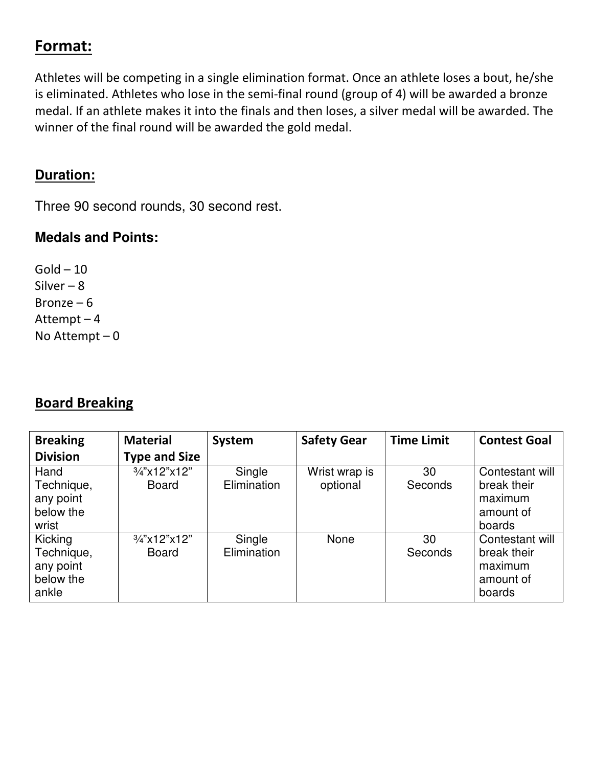# Format:

Athletes will be competing in a single elimination format. Once an athlete loses a bout, he/she is eliminated. Athletes who lose in the semi-final round (group of 4) will be awarded a bronze medal. If an athlete makes it into the finals and then loses, a silver medal will be awarded. The winner of the final round will be awarded the gold medal.

### **Duration:**

Three 90 second rounds, 30 second rest.

## **Medals and Points:**

 $Gold - 10$ Silver – 8 Bronze – 6 Attempt – 4 No Attempt – 0

## Board Breaking

| <b>Breaking</b>                                          | <b>Material</b>                         | System                | <b>Safety Gear</b>        | <b>Time Limit</b> | <b>Contest Goal</b>                                              |
|----------------------------------------------------------|-----------------------------------------|-----------------------|---------------------------|-------------------|------------------------------------------------------------------|
| <b>Division</b>                                          | <b>Type and Size</b>                    |                       |                           |                   |                                                                  |
| Hand<br>Technique,<br>any point<br>below the<br>wrist    | $\frac{3}{4}$ "x12"x12"<br><b>Board</b> | Single<br>Elimination | Wrist wrap is<br>optional | 30<br>Seconds     | Contestant will<br>break their<br>maximum<br>amount of<br>boards |
| Kicking<br>Technique,<br>any point<br>below the<br>ankle | 3/4"x12"x12"<br><b>Board</b>            | Single<br>Elimination | None                      | 30<br>Seconds     | Contestant will<br>break their<br>maximum<br>amount of<br>boards |